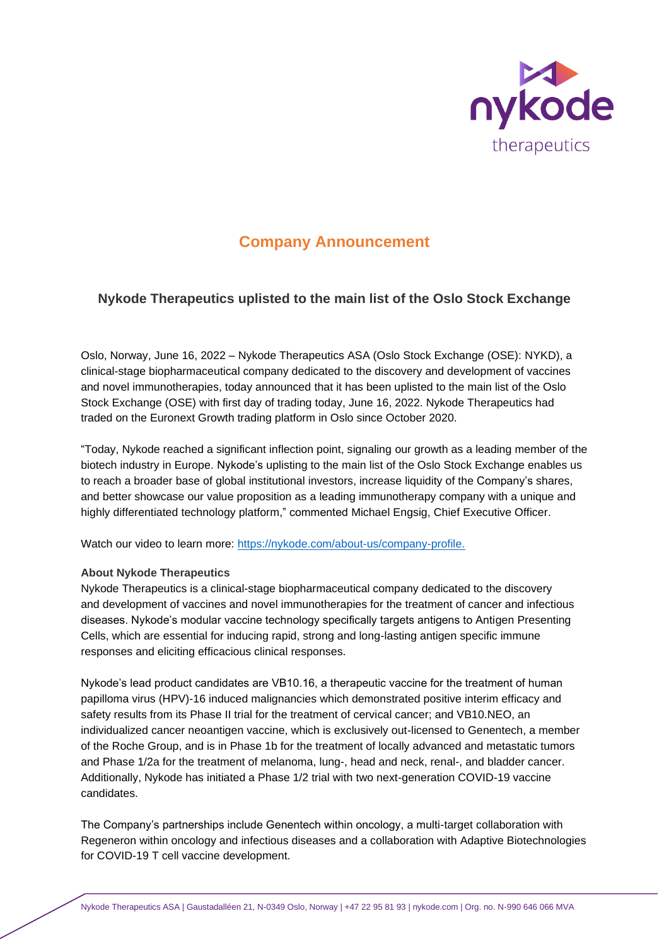

# **Company Announcement**

# **Nykode Therapeutics uplisted to the main list of the Oslo Stock Exchange**

Oslo, Norway, June 16, 2022 – Nykode Therapeutics ASA (Oslo Stock Exchange (OSE): NYKD), a clinical-stage biopharmaceutical company dedicated to the discovery and development of vaccines and novel immunotherapies, today announced that it has been uplisted to the main list of the Oslo Stock Exchange (OSE) with first day of trading today, June 16, 2022. Nykode Therapeutics had traded on the Euronext Growth trading platform in Oslo since October 2020.

"Today, Nykode reached a significant inflection point, signaling our growth as a leading member of the biotech industry in Europe. Nykode's uplisting to the main list of the Oslo Stock Exchange enables us to reach a broader base of global institutional investors, increase liquidity of the Company's shares, and better showcase our value proposition as a leading immunotherapy company with a unique and highly differentiated technology platform," commented Michael Engsig, Chief Executive Officer.

Watch our video to learn more: [https://nykode.com/about-us/company-profile.](https://nykode.com/about-us/company-profile/)

## **About Nykode Therapeutics**

Nykode Therapeutics is a clinical-stage biopharmaceutical company dedicated to the discovery and development of vaccines and novel immunotherapies for the treatment of cancer and infectious diseases. Nykode's modular vaccine technology specifically targets antigens to Antigen Presenting Cells, which are essential for inducing rapid, strong and long-lasting antigen specific immune responses and eliciting efficacious clinical responses.

Nykode's lead product candidates are VB10.16, a therapeutic vaccine for the treatment of human papilloma virus (HPV)-16 induced malignancies which demonstrated positive interim efficacy and safety results from its Phase II trial for the treatment of cervical cancer; and VB10.NEO, an individualized cancer neoantigen vaccine, which is exclusively out-licensed to Genentech, a member of the Roche Group, and is in Phase 1b for the treatment of locally advanced and metastatic tumors and Phase 1/2a for the treatment of melanoma, lung-, head and neck, renal-, and bladder cancer. Additionally, Nykode has initiated a Phase 1/2 trial with two next-generation COVID-19 vaccine candidates.

The Company's partnerships include Genentech within oncology, a multi-target collaboration with Regeneron within oncology and infectious diseases and a collaboration with Adaptive Biotechnologies for COVID-19 T cell vaccine development.